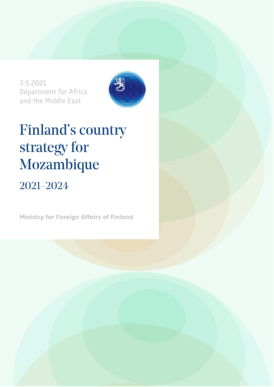3.5.2021 Department for Africa and the Middle East



# Finland's country strategy for Mozambique

## 2021–2024

**Ministry for Foreign Affairs of Finland**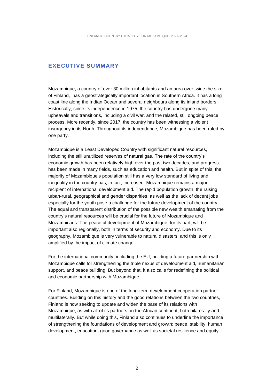### **EXECUTIVE SUMMARY**

Mozambique, a country of over 30 million inhabitants and an area over twice the size of Finland, has a geostrategically important location in Southern Africa. It has a long coast line along the Indian Ocean and several neighbours along its inland borders. Historically, since its independence in 1975, the country has undergone many upheavals and transitions, including a civil war, and the related, still ongoing peace process. More recently, since 2017, the country has been witnessing a violent insurgency in its North. Throughout its independence, Mozambique has been ruled by one party.

Mozambique is a Least Developed Country with significant natural resources, including the still unutilized reserves of natural gas. The rate of the country's economic growth has been relatively high over the past two decades, and progress has been made in many fields, such as education and health. But in spite of this, the majority of Mozambique's population still has a very low standard of living and inequality in the country has, in fact, increased. Mozambique remains a major recipient of international development aid. The rapid population growth, the raising urban-rural, geographical and gender disparities, as well as the lack of decent jobs especially for the youth pose a challenge for the future development of the country. The equal and transparent distribution of the possible new wealth emanating from the country's natural resources will be crucial for the future of Mozambique and Mozambicans. The peaceful development of Mozambique, for its part, will be important also regionally, both in terms of security and economy. Due to its geography, Mozambique is very vulnerable to natural disasters, and this is only amplified by the impact of climate change.

For the international community, including the EU, building a future partnership with Mozambique calls for strengthening the triple nexus of development aid, humanitarian support, and peace building. But beyond that, it also calls for redefining the political and economic partnership with Mozambique.

For Finland, Mozambique is one of the long-term development cooperation partner countries. Building on this history and the good relations between the two countries, Finland is now seeking to update and widen the base of its relations with Mozambique, as with all of its partners on the African continent, both bilaterally and multilaterally. But while doing this, Finland also continues to underline the importance of strengthening the foundations of development and growth: peace, stability, human development, education, good governance as well as societal resilience and equity.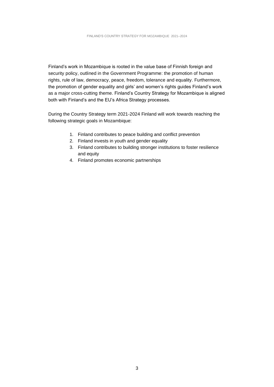Finland's work in Mozambique is rooted in the value base of Finnish foreign and security policy, outlined in the Government Programme: the promotion of human rights, rule of law, democracy, peace, freedom, tolerance and equality. Furthermore, the promotion of gender equality and girls' and women's rights guides Finland's work as a major cross-cutting theme. Finland's Country Strategy for Mozambique is aligned both with Finland's and the EU's Africa Strategy processes.

During the Country Strategy term 2021-2024 Finland will work towards reaching the following strategic goals in Mozambique:

- 1. Finland contributes to peace building and conflict prevention
- 2. Finland invests in youth and gender equality
- 3. Finland contributes to building stronger institutions to foster resilience and equity
- 4. Finland promotes economic partnerships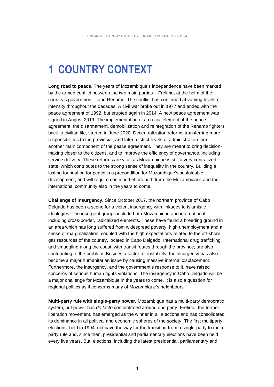## **1 COUNTRY CONTEXT**

**Long road to peace**. The years of Mozambique's independence have been marked by the armed conflict between the two main parties – Frelimo, at the helm of the country's government – and Renamo. The conflict has continued at varying levels of intensity throughout the decades. A civil war broke out in 1977 and ended with the peace agreement of 1992, but erupted again in 2014. A new peace agreement was signed in August 2019. The implementation of a crucial element of the peace agreement, the disarmament, demobilization and reintegration of the Renamo fighters back to civilian life, started in June 2020. Decentralization reforms transferring more responsibilities to the provincial, and later, district levels of administration form another main component of the peace agreement. They are meant to bring decisionmaking closer to the citizens, and to improve the efficiency of governance, including service delivery. These reforms are vital, as Mozambique is still a very centralized state, which contributes to the strong sense of inequality in the country. Building a lasting foundation for peace is a precondition for Mozambique's sustainable development, and will require continued effors both from the Mozambicans and the international community also in the years to come.

**Challenge of insurgency.** Since October 2017, the northern province of Cabo Delgado has been a scene for a violent insurgency with linkages to islamistic ideologies. The insurgent groups include both Mozambican and international, including cross-border, radicalized elements. These have found a breeding ground in an area which has long suffered from widespread poverty, high unemployment and a sense of marginalization, coupled with the high expectations related to the off-shore gas resources of the country, located in Cabo Delgado. International drug trafficking and smuggling along the coast, with transit routes through the province, are also contributing to the problem. Besides a factor for instability, the insurgency has also become a major humanitarian issue by causing massive internal displacement. Furthermore, the insurgency, and the government's response to it, have raised concerns of serious human rights violations. The insurgency in Cabo Delgado will be a major challenge for Mozambique in the years to come. It is also a question for regional politics as it concerns many of Mozambique's neighbours.

**Multi-party rule with single-party power.** Mozambique has a multi-party democratic system, but power has *de facto* concentrated around one party. Frelimo, the former liberation movement, has emerged as the winner in all elections and has consolidated its dominance in all political and economic spheres of the society. The first multiparty elections, held in 1994, did pave the way for the transition from a single-party to multiparty rule and, since then, presidential and parliamentary elections have been held every five years. But, elections, including the latest presidential, parliamentary and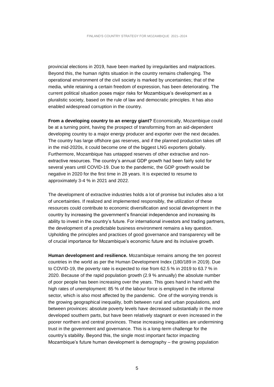provincial elections in 2019, have been marked by irregularities and malpractices. Beyond this, the human rights situation in the country remains challenging. The operational environment of the civil society is marked by uncertainties; that of the media, while retaining a certain freedom of expression, has been deteriorating. The current political situation poses major risks for Mozambique's development as a pluralistic society, based on the rule of law and democratic principles. It has also enabled widespread corruption in the country.

**From a developing country to an energy giant?** Economically, Mozambique could be at a turning point, having the prospect of transforming from an aid-dependent developing country to a major energy producer and exporter over the next decades. The country has large offshore gas reserves, and if the planned production takes off in the mid-2020s, it could become one of the biggest LNG exporters globally. Furthermore, Mozambique has untapped reserves of other extractive and nonextractive resources. The country's annual GDP growth had been fairly solid for several years until COVID-19. Due to the pandemic, the GDP growth would be negative in 2020 for the first time in 28 years. It is expected to resume to approximately 3-4 % in 2021 and 2022.

The development of extractive industries holds a lot of promise but includes also a lot of uncertainties. If realized and implemented responsibly, the utilization of these resources could contribute to economic diversification and social development in the country by increasing the government's financial independence and increasing its ability to invest in the country's future. For international investors and trading partners, the development of a predictable business environment remains a key question. Upholding the principles and practices of good governance and transparency will be of crucial importance for Mozambique's economic future and its inclusive growth.

**Human development and resilience.** Mozambique remains among the ten poorest countries in the world as per the Human Development Index (180/189 in 2019). Due to COVID-19, the poverty rate is expected to rise from 62.5 % in 2019 to 63.7 % in 2020. Because of the rapid population growth (2.9 % annually) the absolute number of poor people has been increasing over the years. This goes hand in hand with the high rates of unemployment: 85 % of the labour force is employed in the informal sector, which is also most affected by the pandemic. One of the worrying trends is the growing geographical inequality, both between rural and urban populations, and between provinces: absolute poverty levels have decreased substantially in the more developed southern parts, but have been relatively stagnant or even increased in the poorer northern and central provinces. These increasing inequalities are undermining trust in the government and governance. This is a long-term challenge for the country's stability. Beyond this, the single most important factor impacting Mozambique's future human development is demography – the growing population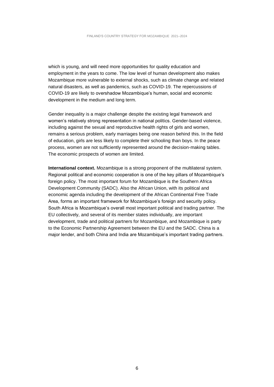which is young, and will need more opportunities for quality education and employment in the years to come. The low level of human development also makes Mozambique more vulnerable to external shocks, such as climate change and related natural disasters, as well as pandemics, such as COVID-19. The repercussions of COVID-19 are likely to overshadow Mozambique's human, social and economic development in the medium and long term.

Gender inequality is a major challenge despite the existing legal framework and women's relatively strong representation in national politics. Gender-based violence, including against the sexual and reproductive health rights of girls and women, remains a serious problem, early marriages being one reason behind this. In the field of education, girls are less likely to complete their schooling than boys. In the peace process, women are not sufficiently represented around the decision-making tables. The economic prospects of women are limited.

**International context.** Mozambique is a strong proponent of the multilateral system. Regional political and economic cooperation is one of the key pillars of Mozambique's foreign policy. The most important forum for Mozambique is the Southern Africa Development Community (SADC). Also the African Union, with its political and economic agenda including the development of the African Continental Free Trade Area, forms an important framework for Mozambique's foreign and security policy. South Africa is Mozambique's overall most important political and trading partner. The EU collectively, and several of its member states individually, are important development, trade and political partners for Mozambique, and Mozambique is party to the Economic Partnership Agreement between the EU and the SADC. China is a major lender, and both China and India are Mozambique's important trading partners.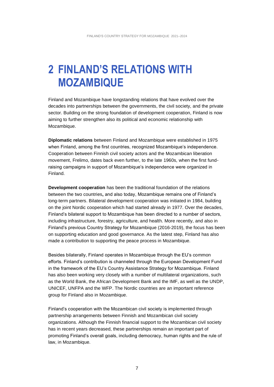## **2 FINLAND'S RELATIONS WITH MOZAMBIQUE**

Finland and Mozambique have longstanding relations that have evolved over the decades into partnerships between the governments, the civil society, and the private sector. Building on the strong foundation of development cooperation, Finland is now aiming to further strengthen also its political and economic relationship with Mozambique.

**Diplomatic relations** between Finland and Mozambique were established in 1975 when Finland, among the first countries, recognized Mozambique's independence. Cooperation between Finnish civil society actors and the Mozambican liberation movement, Frelimo, dates back even further, to the late 1960s, when the first fundraising campaigns in support of Mozambique's independence were organized in Finland.

**Development cooperation** has been the traditional foundation of the relations between the two countries**,** and also today, Mozambique remains one of Finland's long-term partners. Bilateral development cooperation was initiated in 1984, building on the joint Nordic cooperation which had started already in 1977. Over the decades, Finland's bilateral support to Mozambique has been directed to a number of sectors, including infrastructure, forestry, agriculture, and health. More recently, and also in Finland's previous Country Strategy for Mozambique (2016-2019), the focus has been on supporting education and good governance. As the latest step, Finland has also made a contribution to supporting the peace process in Mozambique.

Besides bilaterally, Finland operates in Mozambique through the EU's common efforts. Finland's contribution is channeled through the European Development Fund in the framework of the EU's Country Assistance Strategy for Mozambique. Finland has also been working very closely with a number of multilateral organizations, such as the World Bank, the African Development Bank and the IMF, as well as the UNDP, UNICEF, UNFPA and the WFP. The Nordic countries are an important reference group for Finland also in Mozambique.

Finland's cooperation with the Mozambican civil society is implemented through partnership arrangements between Finnish and Mozambican civil society organizations. Although the Finnish financial support to the Mozambican civil society has in recent years decreased, these partnerships remain an important part of promoting Finland's overall goals, including democracy, human rights and the rule of law, in Mozambique.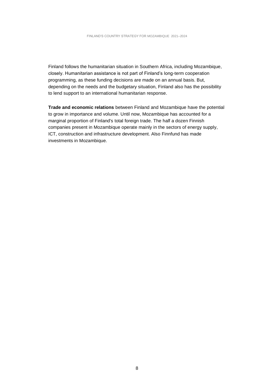Finland follows the humanitarian situation in Southern Africa, including Mozambique, closely. Humanitarian assistance is not part of Finland's long-term cooperation programming, as these funding decisions are made on an annual basis. But, depending on the needs and the budgetary situation, Finland also has the possibility to lend support to an international humanitarian response.

**Trade and economic relations** between Finland and Mozambique have the potential to grow in importance and volume. Until now, Mozambique has accounted for a marginal proportion of Finland's total foreign trade. The half a dozen Finnish companies present in Mozambique operate mainly in the sectors of energy supply, ICT, construction and infrastructure development. Also Finnfund has made investments in Mozambique.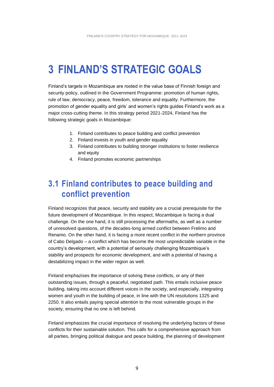## **3 FINLAND'S STRATEGIC GOALS**

Finland's targets in Mozambique are rooted in the value base of Finnish foreign and security policy, outlined in the Government Programme: promotion of human rights, rule of law, democracy, peace, freedom, tolerance and equality. Furthermore, the promotion of gender equality and girls' and women's rights guides Finland's work as a major cross-cutting theme. In this strategy period 2021-2024, Finland has the following strategic goals in Mozambique:

- 1. Finland contributes to peace building and conflict prevention
- 2. Finland invests in youth and gender equality
- 3. Finland contributes to building stronger institutions to foster resilience and equity
- 4. Finland promotes economic partnerships

### **3.1 Finland contributes to peace building and conflict prevention**

Finland recognizes that peace, security and stability are a crucial prerequisite for the future development of Mozambique. In this respect, Mozambique is facing a dual challenge. On the one hand, it is still processing the aftermaths, as well as a number of unresolved questions, of the decades-long armed conflict between Frelimo and Renamo. On the other hand, it is facing a more recent conflict in the northern province of Cabo Delgado – a conflict which has become the most unpredictable variable in the country's development, with a potential of seriously challenging Mozambique's stability and prospects for economic development, and with a potential of having a destabilizing impact in the wider region as well.

Finland emphazises the importance of solving these conflicts, or any of their outstanding issues, through a peaceful, negotiated path. This entails inclusive peace building, taking into account different voices in the society, and especially, integrating women and youth in the building of peace, in line with the UN resolutions 1325 and 2250. It also entails paying special attention to the most vulnerable groups in the society, ensuring that no one is left behind.

Finland emphasizes the crucial importance of resolving the underlying factors of these conflicts for their sustainable solution. This calls for a comprehensive approach from all parties, bringing political dialogue and peace building, the planning of development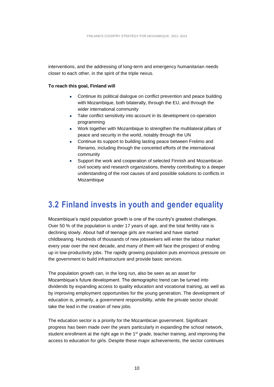interventions, and the addressing of long-term and emergency humanitarian needs closer to each other, in the spirit of the triple nexus.

#### **To reach this goal, Finland will**

- Continue its political dialogue on conflict prevention and peace building with Mozambique, both bilaterally, through the EU, and through the wider international community
- Take conflict sensitivity into account in its development co-operation programming
- Work together with Mozambique to strengthen the multilateral pillars of peace and security in the world, notably through the UN
- Continue its support to building lasting peace between Frelimo and Renamo, including through the concerted efforts of the international community
- Support the work and cooperation of selected Finnish and Mozambican civil society and research organizations, thereby contributing to a deeper understanding of the root causes of and possible solutions to conflicts in Mozambique

### **3.2 Finland invests in youth and gender equality**

Mozambique's rapid population growth is one of the country's greatest challenges. Over 50 % of the population is under 17 years of age, and the total fertility rate is declining slowly. About half of teenage girls are married and have started childbearing. Hundreds of thousands of new jobseekers will enter the labour market every year over the next decade, and many of them will face the prospect of ending up in low-productivity jobs. The rapidly growing population puts enormous pressure on the government to build infrastructure and provide basic services.

The population growth can, in the long run, also be seen as an asset for Mozambique's future development. The demographic trend can be turned into dividends by expanding access to quality education and vocational training, as well as by improving employment opportunities for the young generation. The development of education is, primarily, a government responsibility, while the private sector should take the lead in the creation of new jobs.

The education sector is a priority for the Mozambican government. Significant progress has been made over the years particularly in expanding the school network, student enrollment at the right age in the  $1<sup>st</sup>$  grade, teacher training, and improving the access to education for girls. Despite these major achievements, the sector continues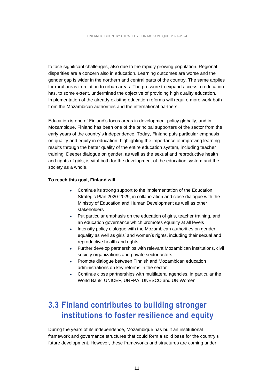to face significant challenges, also due to the rapidly growing population. Regional disparities are a concern also in education. Learning outcomes are worse and the gender gap is wider in the northern and central parts of the country. The same applies for rural areas in relation to urban areas. The pressure to expand access to education has, to some extent, undermined the objective of providing high quality education. Implementation of the already existing education reforms will require more work both from the Mozambican authorities and the international partners.

Education is one of Finland's focus areas in development policy globally, and in Mozambique, Finland has been one of the principal supporters of the sector from the early years of the country's independence. Today, Finland puts particular emphasis on quality and equity in education, highlighting the importance of improving learning results through the better quality of the entire education system, including teacher training. Deeper dialogue on gender, as well as the sexual and reproductive health and rights of girls, is vital both for the development of the education system and the society as a whole.

#### **To reach this goal, Finland will**

- Continue its strong support to the implementation of the Education Strategic Plan 2020-2029, in collaboration and close dialogue with the Ministry of Education and Human Development as well as other stakeholders
- Put particular emphasis on the education of girls, teacher training, and an education governance which promotes equality at all levels
- Intensify policy dialogue with the Mozambican authorities on gender equality as well as girls' and women's rights, including their sexual and reproductive health and rights
- Further develop partnerships with relevant Mozambican institutions, civil society organizations and private sector actors
- Promote dialogue between Finnish and Mozambican education administrations on key reforms in the sector
- Continue close partnerships with multilateral agencies, in particular the World Bank, UNICEF, UNFPA, UNESCO and UN Women

### **3.3 Finland contributes to building stronger institutions to foster resilience and equity**

During the years of its independence, Mozambique has built an institutional framework and governance structures that could form a solid base for the country's future development. However, these frameworks and structures are coming under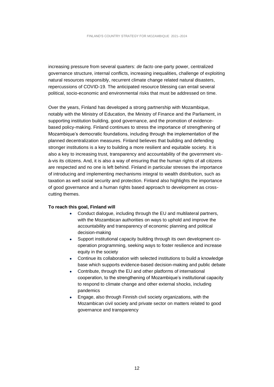increasing pressure from several quarters: *de facto* one-party power, centralized governance structure, internal conflicts, increasing inequalities, challenge of exploiting natural resources responsibly, recurrent climate change related natural disasters, repercussions of COVID-19. The anticipated resource blessing can entail several political, socio-economic and environmental risks that must be addressed on time.

Over the years, Finland has developed a strong partnership with Mozambique, notably with the Ministry of Education, the Ministry of Finance and the Parliament, in supporting institution building, good governance, and the promotion of evidencebased policy-making. Finland continues to stress the importance of strengthening of Mozambique's democratic foundations, including through the implementation of the planned decentralization measures. Finland believes that building and defending stronger institutions is a key to building a more resilient and equitable society. It is also a key to increasing trust, transparency and accountability of the government visà-vis its citizens. And, it is also a way of ensuring that the human rights of all citizens are respected and no one is left behind. Finland in particular stresses the importance of introducing and implementing mechanisms integral to wealth distribution, such as taxation as well social security and protection. Finland also highlights the importance of good governance and a human rights based approach to development as crosscutting themes.

#### **To reach this goal, Finland will**

- Conduct dialogue, including through the EU and multilateral partners, with the Mozambican authorities on ways to uphold and improve the accountability and transparency of economic planning and political decision-making
- Support institutional capacity building through its own development cooperation programming, seeking ways to foster resilience and increase equity in the society
- Continue its collaboration with selected institutions to build a knowledge base which supports evidence-based decision-making and public debate
- Contribute, through the EU and other platforms of international cooperation, to the strengthening of Mozambique's institutional capacity to respond to climate change and other external shocks, including pandemics
- Engage, also through Finnish civil society organizations, with the Mozambican civil society and private sector on matters related to good governance and transparency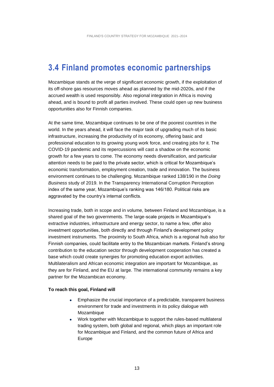### **3.4 Finland promotes economic partnerships**

Mozambique stands at the verge of significant economic growth, if the exploitation of its off-shore gas resources moves ahead as planned by the mid-2020s, and if the accrued wealth is used responsibly. Also regional integration in Africa is moving ahead, and is bound to profit all parties involved. These could open up new business opportunities also for Finnish companies.

At the same time, Mozambique continues to be one of the poorest countries in the world. In the years ahead, it will face the major task of upgrading much of its basic infrastructure, increasing the productivity of its economy, offering basic and professional education to its growing young work force, and creating jobs for it. The COVID-19 pandemic and its repercussions will cast a shadow on the economic growth for a few years to come. The economy needs diversification, and particular attention needs to be paid to the private sector, which is critical for Mozambique's economic transformation, employment creation, trade and innovation. The business environment continues to be challenging. Mozambique ranked 138/190 in the *Doing Business* study of 2019. In the Transparency International Corruption Perception index of the same year, Mozambique's ranking was 146/180. Political risks are aggravated by the country's internal conflicts.

Increasing trade, both in scope and in volume, between Finland and Mozambique, is a shared goal of the two governments. The large-scale projects in Mozambique's extractive industries, infrastructure and energy sector, to name a few, offer also investment opportunities, both directly and through Finland's development policy investment instruments. The proximity to South Africa, which is a regional hub also for Finnish companies, could facilitate entry to the Mozambican markets. Finland's strong contribution to the education sector through development cooperation has created a base which could create synergies for promoting education export activities. Multilateralism and African economic integration are important for Mozambique, as they are for Finland, and the EU at large. The international community remains a key partner for the Mozambican economy.

#### **To reach this goal, Finland will**

- Emphasize the crucial importance of a predictable, transparent business environment for trade and investments in its policy dialogue with Mozambique
- Work together with Mozambique to support the rules-based multilateral trading system, both global and regional, which plays an important role for Mozambique and Finland, and the common future of Africa and Europe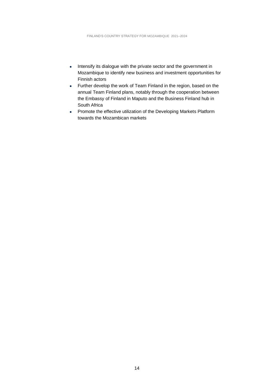- Intensify its dialogue with the private sector and the government in Mozambique to identify new business and investment opportunities for Finnish actors
- Further develop the work of Team Finland in the region, based on the annual Team Finland plans, notably through the cooperation between the Embassy of Finland in Maputo and the Business Finland hub in South Africa
- Promote the effective utilization of the Developing Markets Platform towards the Mozambican markets